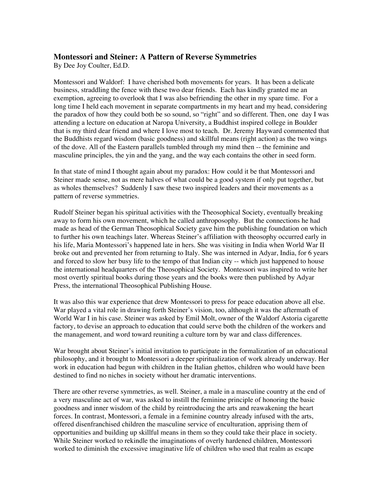## **Montessori and Steiner: A Pattern of Reverse Symmetries**

By Dee Joy Coulter, Ed.D.

Montessori and Waldorf: I have cherished both movements for years. It has been a delicate business, straddling the fence with these two dear friends. Each has kindly granted me an exemption, agreeing to overlook that I was also befriending the other in my spare time. For a long time I held each movement in separate compartments in my heart and my head, considering the paradox of how they could both be so sound, so "right" and so different. Then, one day I was attending a lecture on education at Naropa University, a Buddhist inspired college in Boulder that is my third dear friend and where I love most to teach. Dr. Jeremy Hayward commented that the Buddhists regard wisdom (basic goodness) and skillful means (right action) as the two wings of the dove. All of the Eastern parallels tumbled through my mind then -- the feminine and masculine principles, the yin and the yang, and the way each contains the other in seed form.

In that state of mind I thought again about my paradox: How could it be that Montessori and Steiner made sense, not as mere halves of what could be a good system if only put together, but as wholes themselves? Suddenly I saw these two inspired leaders and their movements as a pattern of reverse symmetries.

Rudolf Steiner began his spiritual activities with the Theosophical Society, eventually breaking away to form his own movement, which he called anthroposophy. But the connections he had made as head of the German Theosophical Society gave him the publishing foundation on which to further his own teachings later. Whereas Steiner's affiliation with theosophy occurred early in his life, Maria Montessori's happened late in hers. She was visiting in India when World War II broke out and prevented her from returning to Italy. She was interned in Adyar, India, for 6 years and forced to slow her busy life to the tempo of that Indian city -- which just happened to house the international headquarters of the Theosophical Society. Montessori was inspired to write her most overtly spiritual books during those years and the books were then published by Adyar Press, the international Theosophical Publishing House.

It was also this war experience that drew Montessori to press for peace education above all else. War played a vital role in drawing forth Steiner's vision, too, although it was the aftermath of World War I in his case. Steiner was asked by Emil Molt, owner of the Waldorf Astoria cigarette factory, to devise an approach to education that could serve both the children of the workers and the management, and word toward reuniting a culture torn by war and class differences.

War brought about Steiner's initial invitation to participate in the formalization of an educational philosophy, and it brought to Montessori a deeper spiritualization of work already underway. Her work in education had begun with children in the Italian ghettos, children who would have been destined to find no niches in society without her dramatic interventions.

There are other reverse symmetries, as well. Steiner, a male in a masculine country at the end of a very masculine act of war, was asked to instill the feminine principle of honoring the basic goodness and inner wisdom of the child by reintroducing the arts and reawakening the heart forces. In contrast, Montessori, a female in a feminine country already infused with the arts, offered disenfranchised children the masculine service of enculturation, apprising them of opportunities and building up skillful means in them so they could take their place in society. While Steiner worked to rekindle the imaginations of overly hardened children, Montessori worked to diminish the excessive imaginative life of children who used that realm as escape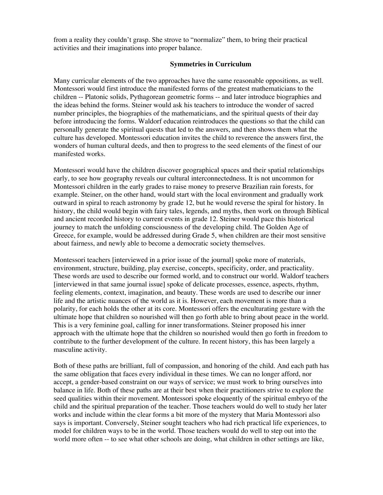from a reality they couldn't grasp. She strove to "normalize" them, to bring their practical activities and their imaginations into proper balance.

## **Symmetries in Curriculum**

Many curricular elements of the two approaches have the same reasonable oppositions, as well. Montessori would first introduce the manifested forms of the greatest mathematicians to the children -- Platonic solids, Pythagorean geometric forms -- and later introduce biographies and the ideas behind the forms. Steiner would ask his teachers to introduce the wonder of sacred number principles, the biographies of the mathematicians, and the spiritual quests of their day before introducing the forms. Waldorf education reintroduces the questions so that the child can personally generate the spiritual quests that led to the answers, and then shows them what the culture has developed. Montessori education invites the child to reverence the answers first, the wonders of human cultural deeds, and then to progress to the seed elements of the finest of our manifested works.

Montessori would have the children discover geographical spaces and their spatial relationships early, to see how geography reveals our cultural interconnectedness. It is not uncommon for Montessori children in the early grades to raise money to preserve Brazilian rain forests, for example. Steiner, on the other hand, would start with the local environment and gradually work outward in spiral to reach astronomy by grade 12, but he would reverse the spiral for history. In history, the child would begin with fairy tales, legends, and myths, then work on through Biblical and ancient recorded history to current events in grade 12. Steiner would pace this historical journey to match the unfolding consciousness of the developing child. The Golden Age of Greece, for example, would be addressed during Grade 5, when children are their most sensitive about fairness, and newly able to become a democratic society themselves.

Montessori teachers [interviewed in a prior issue of the journal] spoke more of materials, environment, structure, building, play exercise, concepts, specificity, order, and practicality. These words are used to describe our formed world, and to construct our world. Waldorf teachers [interviewed in that same journal issue] spoke of delicate processes, essence, aspects, rhythm, feeling elements, context, imagination, and beauty. These words are used to describe our inner life and the artistic nuances of the world as it is. However, each movement is more than a polarity, for each holds the other at its core. Montessori offers the enculturating gesture with the ultimate hope that children so nourished will then go forth able to bring about peace in the world. This is a very feminine goal, calling for inner transformations. Steiner proposed his inner approach with the ultimate hope that the children so nourished would then go forth in freedom to contribute to the further development of the culture. In recent history, this has been largely a masculine activity.

Both of these paths are brilliant, full of compassion, and honoring of the child. And each path has the same obligation that faces every individual in these times. We can no longer afford, nor accept, a gender-based constraint on our ways of service; we must work to bring ourselves into balance in life. Both of these paths are at their best when their practitioners strive to explore the seed qualities within their movement. Montessori spoke eloquently of the spiritual embryo of the child and the spiritual preparation of the teacher. Those teachers would do well to study her later works and include within the clear forms a bit more of the mystery that Maria Montessori also says is important. Conversely, Steiner sought teachers who had rich practical life experiences, to model for children ways to be in the world. Those teachers would do well to step out into the world more often -- to see what other schools are doing, what children in other settings are like,